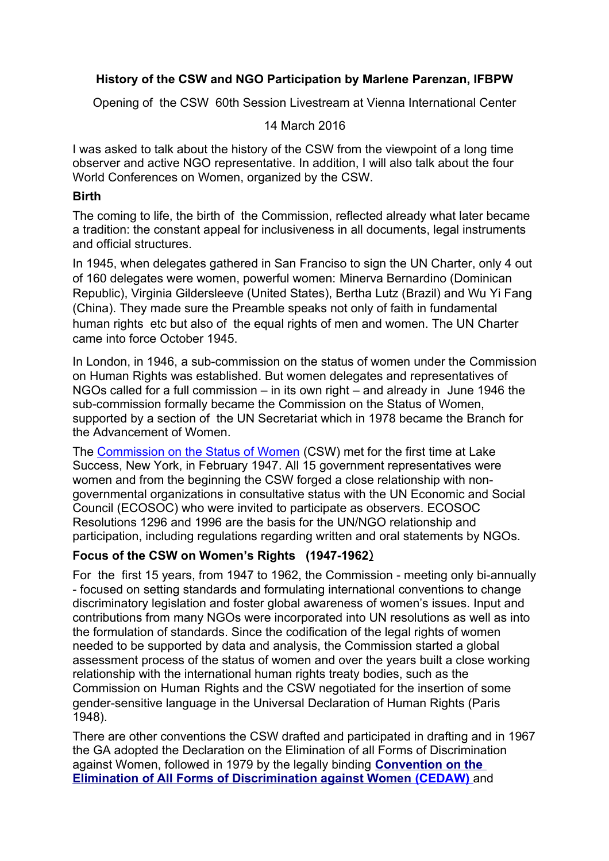# **History of the CSW and NGO Participation by Marlene Parenzan, IFBPW**

Opening of the CSW 60th Session Livestream at Vienna International Center

### 14 March 2016

I was asked to talk about the history of the CSW from the viewpoint of a long time observer and active NGO representative. In addition, I will also talk about the four World Conferences on Women, organized by the CSW.

### **Birth**

The coming to life, the birth of the Commission, reflected already what later became a tradition: the constant appeal for inclusiveness in all documents, legal instruments and official structures.

In 1945, when delegates gathered in San Franciso to sign the UN Charter, only 4 out of 160 delegates were women, powerful women: Minerva Bernardino (Dominican Republic), Virginia Gildersleeve (United States), Bertha Lutz (Brazil) and Wu Yi Fang (China). They made sure the Preamble speaks not only of faith in fundamental human rights etc but also of the equal rights of men and women. The UN Charter came into force October 1945.

In London, in 1946, a sub-commission on the status of women under the Commission on Human Rights was established. But women delegates and representatives of NGOs called for a full commission – in its own right – and already in June 1946 the sub-commission formally became the Commission on the Status of Women, supported by a section of the UN Secretariat which in 1978 became the Branch for the Advancement of Women.

The [Commission on the Status of Women](http://www.unwomen.org/csw/) (CSW) met for the first time at Lake Success, New York, in February 1947. All 15 government representatives were women and from the beginning the CSW forged a close relationship with nongovernmental organizations in consultative status with the UN Economic and Social Council (ECOSOC) who were invited to participate as observers. ECOSOC Resolutions 1296 and 1996 are the basis for the UN/NGO relationship and participation, including regulations regarding written and oral statements by NGOs.

# **Focus of the CSW on Women's Rights (1947-1962**)

For the first 15 years, from 1947 to 1962, the Commission - meeting only bi-annually - focused on setting standards and formulating international conventions to change discriminatory legislation and foster global awareness of women's issues. Input and contributions from many NGOs were incorporated into UN resolutions as well as into the formulation of standards. Since the codification of the legal rights of women needed to be supported by data and analysis, the Commission started a global assessment process of the status of women and over the years built a close working relationship with the international human rights treaty bodies, such as the Commission on Human Rights and the CSW negotiated for the insertion of some gender-sensitive language in the Universal Declaration of Human Rights (Paris 1948).

There are other conventions the CSW drafted and participated in drafting and in 1967 the GA adopted the Declaration on the Elimination of all Forms of Discrimination against Women, followed in 1979 by the legally binding **[Convention on the](http://www2.ohchr.org/english/law/cedaw.htm)   [Elimination of All Forms of Discrimination against Women](http://www2.ohchr.org/english/law/cedaw.htm) (CEDAW)** and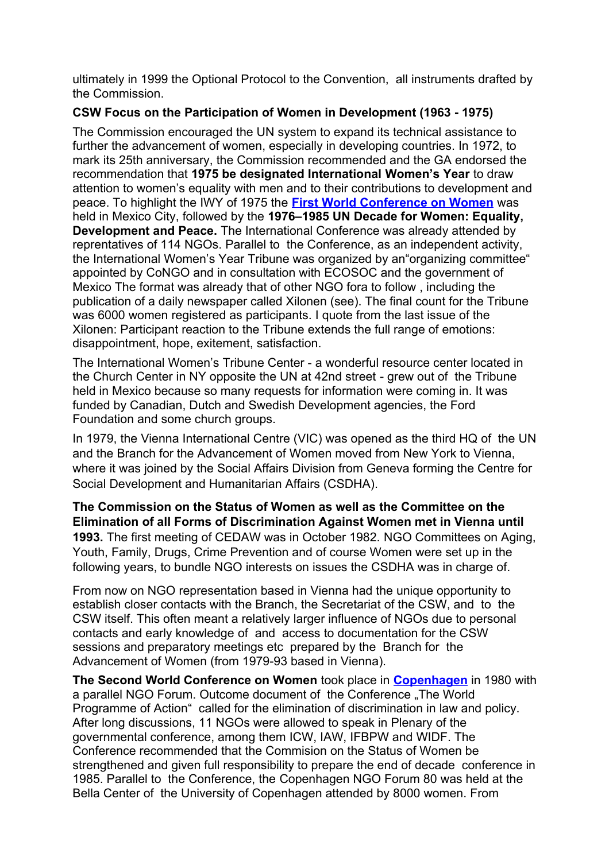ultimately in 1999 the Optional Protocol to the Convention, all instruments drafted by the Commission.

# **CSW Focus on the Participation of Women in Development (1963 - 1975)**

The Commission encouraged the UN system to expand its technical assistance to further the advancement of women, especially in developing countries. In 1972, to mark its 25th anniversary, the Commission recommended and the GA endorsed the recommendation that **1975 be designated International Women's Year** to draw attention to women's equality with men and to their contributions to development and peace. To highlight the IWY of 1975 the **[First World Conference on Women](http://www.unwomen.org/en/csw/brief-history)** was held in Mexico City, followed by the **1976–1985 UN Decade for Women: Equality, Development and Peace.** The International Conference was already attended by reprentatives of 114 NGOs. Parallel to the Conference, as an independent activity, the International Women's Year Tribune was organized by an"organizing committee" appointed by CoNGO and in consultation with ECOSOC and the government of Mexico The format was already that of other NGO fora to follow , including the publication of a daily newspaper called Xilonen (see). The final count for the Tribune was 6000 women registered as participants. I quote from the last issue of the Xilonen: Participant reaction to the Tribune extends the full range of emotions: disappointment, hope, exitement, satisfaction.

The International Women's Tribune Center - a wonderful resource center located in the Church Center in NY opposite the UN at 42nd street - grew out of the Tribune held in Mexico because so many requests for information were coming in. It was funded by Canadian, Dutch and Swedish Development agencies, the Ford Foundation and some church groups.

In 1979, the Vienna International Centre (VIC) was opened as the third HQ of the UN and the Branch for the Advancement of Women moved from New York to Vienna, where it was joined by the Social Affairs Division from Geneva forming the Centre for Social Development and Humanitarian Affairs (CSDHA).

**The Commission on the Status of Women as well as the Committee on the Elimination of all Forms of Discrimination Against Women met in Vienna until 1993.** The first meeting of CEDAW was in October 1982. NGO Committees on Aging, Youth, Family, Drugs, Crime Prevention and of course Women were set up in the following years, to bundle NGO interests on issues the CSDHA was in charge of.

From now on NGO representation based in Vienna had the unique opportunity to establish closer contacts with the Branch, the Secretariat of the CSW, and to the CSW itself. This often meant a relatively larger influence of NGOs due to personal contacts and early knowledge of and access to documentation for the CSW sessions and preparatory meetings etc prepared by the Branch for the Advancement of Women (from 1979-93 based in Vienna).

**The Second World Conference on Women** took place in **[Copenhagen](http://www.unwomen.org/en/csw/brief-history)** in 1980 with a parallel NGO Forum. Outcome document of the Conference "The World Programme of Action" called for the elimination of discrimination in law and policy. After long discussions, 11 NGOs were allowed to speak in Plenary of the governmental conference, among them ICW, IAW, IFBPW and WIDF. The Conference recommended that the Commision on the Status of Women be strengthened and given full responsibility to prepare the end of decade conference in 1985. Parallel to the Conference, the Copenhagen NGO Forum 80 was held at the Bella Center of the University of Copenhagen attended by 8000 women. From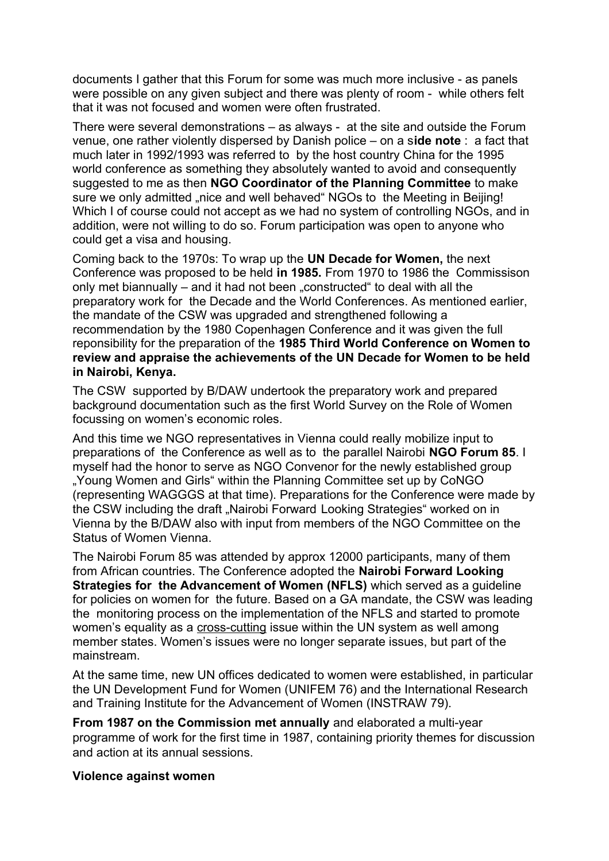documents I gather that this Forum for some was much more inclusive - as panels were possible on any given subject and there was plenty of room - while others felt that it was not focused and women were often frustrated.

There were several demonstrations – as always - at the site and outside the Forum venue, one rather violently dispersed by Danish police – on a s**ide note** : a fact that much later in 1992/1993 was referred to by the host country China for the 1995 world conference as something they absolutely wanted to avoid and consequently suggested to me as then **NGO Coordinator of the Planning Committee** to make sure we only admitted ..nice and well behaved NGOs to the Meeting in Beijing! Which I of course could not accept as we had no system of controlling NGOs, and in addition, were not willing to do so. Forum participation was open to anyone who could get a visa and housing.

Coming back to the 1970s: To wrap up the **UN Decade for Women,** the next Conference was proposed to be held **in 1985.** From 1970 to 1986 the Commissison only met biannually – and it had not been "constructed" to deal with all the preparatory work for the Decade and the World Conferences. As mentioned earlier, the mandate of the CSW was upgraded and strengthened following a recommendation by the 1980 Copenhagen Conference and it was given the full reponsibility for the preparation of the **1985 Third World Conference on Women to review and appraise the achievements of the UN Decade for Women to be held in Nairobi, Kenya.**

The CSW supported by B/DAW undertook the preparatory work and prepared background documentation such as the first World Survey on the Role of Women focussing on women's economic roles.

And this time we NGO representatives in Vienna could really mobilize input to preparations of the Conference as well as to the parallel Nairobi **NGO Forum 85**. I myself had the honor to serve as NGO Convenor for the newly established group "Young Women and Girls" within the Planning Committee set up by CoNGO (representing WAGGGS at that time). Preparations for the Conference were made by the CSW including the draft "Nairobi Forward Looking Strategies" worked on in Vienna by the B/DAW also with input from members of the NGO Committee on the Status of Women Vienna.

The Nairobi Forum 85 was attended by approx 12000 participants, many of them from African countries. The Conference adopted the **Nairobi Forward Looking Strategies for the Advancement of Women (NFLS)** which served as a guideline for policies on women for the future. Based on a GA mandate, the CSW was leading the monitoring process on the implementation of the NFLS and started to promote women's equality as a cross-cutting issue within the UN system as well among member states. Women's issues were no longer separate issues, but part of the mainstream.

At the same time, new UN offices dedicated to women were established, in particular the UN Development Fund for Women (UNIFEM 76) and the International Research and Training Institute for the Advancement of Women (INSTRAW 79).

**From 1987 on the Commission met annually** and elaborated a multi-year programme of work for the first time in 1987, containing priority themes for discussion and action at its annual sessions.

#### **Violence against women**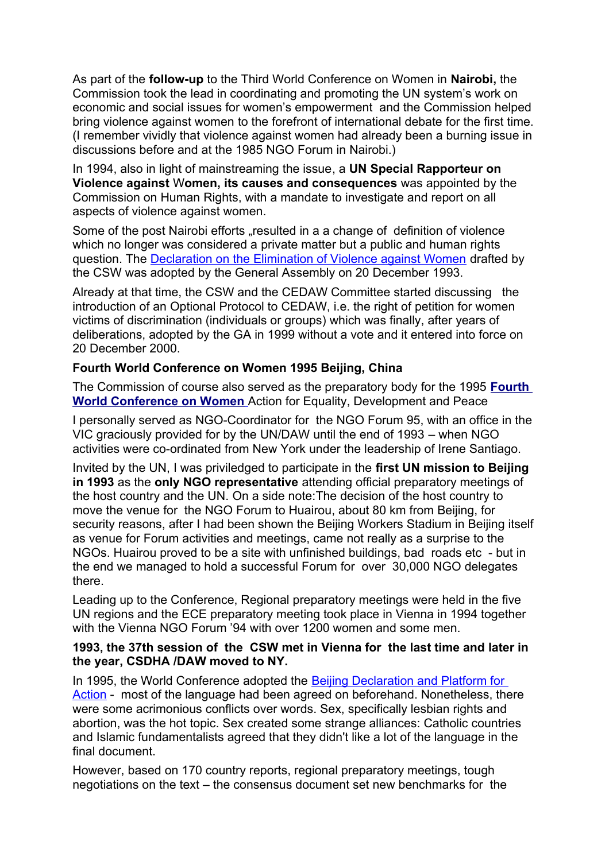As part of the **follow-up** to the Third World Conference on Women in **Nairobi,** the Commission took the lead in coordinating and promoting the UN system's work on economic and social issues for women's empowerment and the Commission helped bring violence against women to the forefront of international debate for the first time. (I remember vividly that violence against women had already been a burning issue in discussions before and at the 1985 NGO Forum in Nairobi.)

In 1994, also in light of mainstreaming the issue, a **UN Special Rapporteur on Violence against** W**omen, its causes and consequences** was appointed by the Commission on Human Rights, with a mandate to investigate and report on all aspects of violence against women.

Some of the post Nairobi efforts ..resulted in a a change of definition of violence which no longer was considered a private matter but a public and human rights question. The [Declaration on the Elimination of Violence against Women](http://www.un.org/ga/search/view_doc.asp?symbol=A/RES/48/104) drafted by the CSW was adopted by the General Assembly on 20 December 1993.

Already at that time, the CSW and the CEDAW Committee started discussing the introduction of an Optional Protocol to CEDAW, i.e. the right of petition for women victims of discrimination (individuals or groups) which was finally, after years of deliberations, adopted by the GA in 1999 without a vote and it entered into force on 20 December 2000.

### **Fourth World Conference on Women 1995 Beijing, China**

The Commission of course also served as the preparatory body for the 1995 **[Fourth](http://www.unwomen.org/en/csw/brief-history)   [World Conference on Women](http://www.unwomen.org/en/csw/brief-history)** Action for Equality, Development and Peace

I personally served as NGO-Coordinator for the NGO Forum 95, with an office in the VIC graciously provided for by the UN/DAW until the end of 1993 – when NGO activities were co-ordinated from New York under the leadership of Irene Santiago.

Invited by the UN, I was priviledged to participate in the **first UN mission to Beijing in 1993** as the **only NGO representative** attending official preparatory meetings of the host country and the UN. On a side note:The decision of the host country to move the venue for the NGO Forum to Huairou, about 80 km from Beijing, for security reasons, after I had been shown the Beijing Workers Stadium in Beijing itself as venue for Forum activities and meetings, came not really as a surprise to the NGOs. Huairou proved to be a site with unfinished buildings, bad roads etc - but in the end we managed to hold a successful Forum for over 30,000 NGO delegates there.

Leading up to the Conference, Regional preparatory meetings were held in the five UN regions and the ECE preparatory meeting took place in Vienna in 1994 together with the Vienna NGO Forum '94 with over 1200 women and some men.

#### **1993, the 37th session of the CSW met in Vienna for the last time and later in the year, CSDHA /DAW moved to NY.**

In 1995, the World Conference adopted the Beijing Declaration and Platform for [Action](http://www.un.org/womenwatch/daw/beijing/platform/) - most of the language had been agreed on beforehand. Nonetheless, there were some acrimonious conflicts over words. Sex, specifically lesbian rights and abortion, was the hot topic. Sex created some strange alliances: Catholic countries and Islamic fundamentalists agreed that they didn't like a lot of the language in the final document.

However, based on 170 country reports, regional preparatory meetings, tough negotiations on the text – the consensus document set new benchmarks for the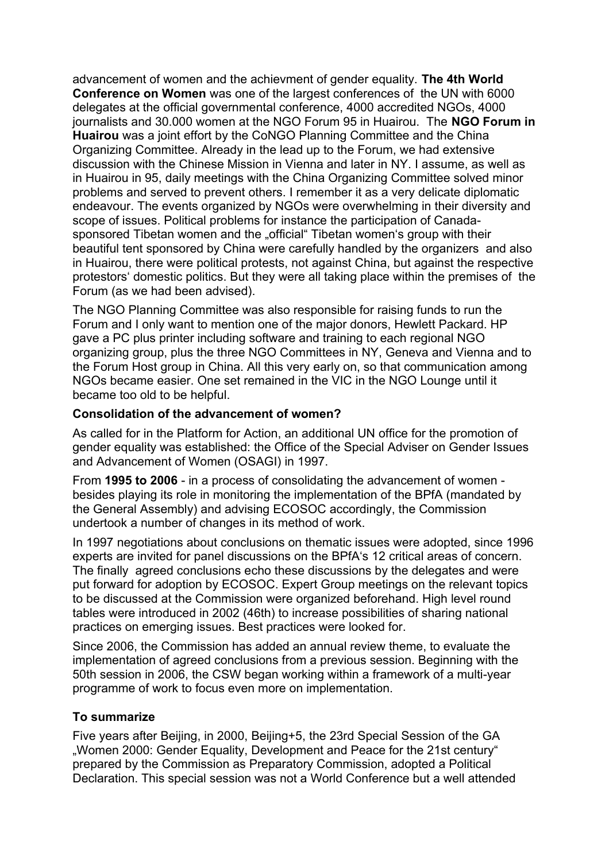advancement of women and the achievment of gender equality. **The 4th World Conference on Women** was one of the largest conferences of the UN with 6000 delegates at the official governmental conference, 4000 accredited NGOs, 4000 journalists and 30.000 women at the NGO Forum 95 in Huairou. The **NGO Forum in Huairou** was a joint effort by the CoNGO Planning Committee and the China Organizing Committee. Already in the lead up to the Forum, we had extensive discussion with the Chinese Mission in Vienna and later in NY. I assume, as well as in Huairou in 95, daily meetings with the China Organizing Committee solved minor problems and served to prevent others. I remember it as a very delicate diplomatic endeavour. The events organized by NGOs were overwhelming in their diversity and scope of issues. Political problems for instance the participation of Canadasponsored Tibetan women and the "official" Tibetan women's group with their beautiful tent sponsored by China were carefully handled by the organizers and also in Huairou, there were political protests, not against China, but against the respective protestors' domestic politics. But they were all taking place within the premises of the Forum (as we had been advised).

The NGO Planning Committee was also responsible for raising funds to run the Forum and I only want to mention one of the major donors, Hewlett Packard. HP gave a PC plus printer including software and training to each regional NGO organizing group, plus the three NGO Committees in NY, Geneva and Vienna and to the Forum Host group in China. All this very early on, so that communication among NGOs became easier. One set remained in the VIC in the NGO Lounge until it became too old to be helpful.

### **Consolidation of the advancement of women?**

As called for in the Platform for Action, an additional UN office for the promotion of gender equality was established: the Office of the Special Adviser on Gender Issues and Advancement of Women (OSAGI) in 1997.

From **1995 to 2006** - in a process of consolidating the advancement of women besides playing its role in monitoring the implementation of the BPfA (mandated by the General Assembly) and advising ECOSOC accordingly, the Commission undertook a number of changes in its method of work.

In 1997 negotiations about conclusions on thematic issues were adopted, since 1996 experts are invited for panel discussions on the BPfA's 12 critical areas of concern. The finally agreed conclusions echo these discussions by the delegates and were put forward for adoption by ECOSOC. Expert Group meetings on the relevant topics to be discussed at the Commission were organized beforehand. High level round tables were introduced in 2002 (46th) to increase possibilities of sharing national practices on emerging issues. Best practices were looked for.

Since 2006, the Commission has added an annual review theme, to evaluate the implementation of agreed conclusions from a previous session. Beginning with the 50th session in 2006, the CSW began working within a framework of a multi-year programme of work to focus even more on implementation.

# **To summarize**

Five years after Beijing, in 2000, Beijing+5, the 23rd Special Session of the GA "Women 2000: Gender Equality, Development and Peace for the 21st century" prepared by the Commission as Preparatory Commission, adopted a Political Declaration. This special session was not a World Conference but a well attended